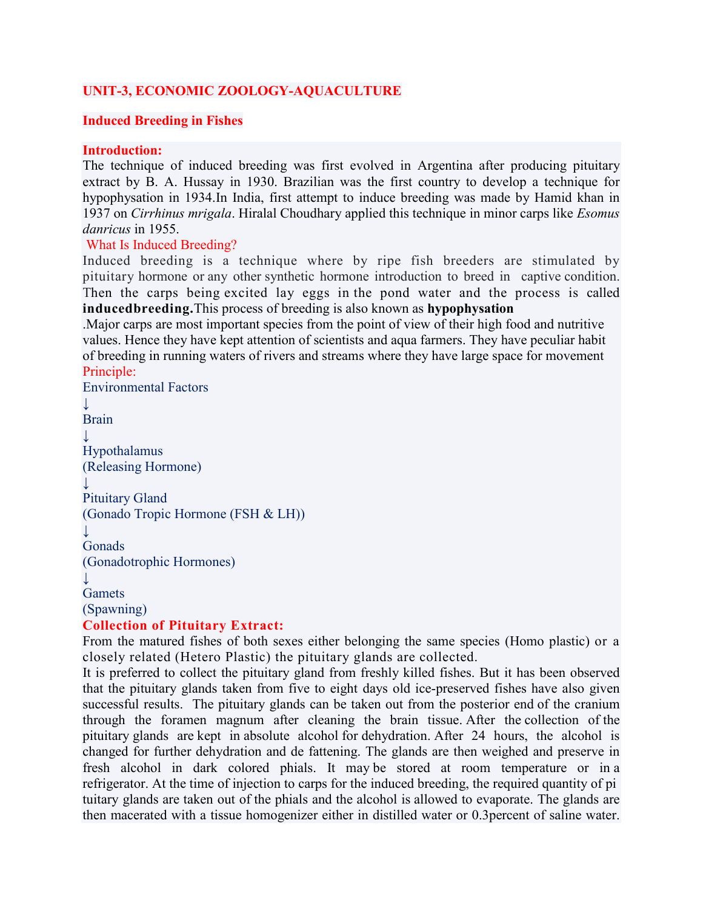## **UNIT-3, ECONOMIC ZOOLOGY-AQUACULTURE**

#### **Induced Breeding in Fishes**

#### **Introduction:**

The technique of induced breeding was first evolved in Argentina after producing pituitary extract by B. A. Hussay in 1930. Brazilian was the first country to develop a technique for hypophysation in 1934.In India, first attempt to induce breeding was made by Hamid khan in 1937 on *Cirrhinus mrigala*. Hiralal Choudhary applied this technique in minor carps like *Esomus danricus* in 1955.

#### What Is Induced Breeding?

Induced breeding is a technique where by ripe fish breeders are stimulated by pituitary hormone or any other synthetic hormone introduction to breed in captive condition. Then the carps being excited lay eggs in the pond water and the process is called **inducedbreeding.**This process of breeding is also known as **hypophysation**

.Major carps are most important species from the point of view of their high food and nutritive values. Hence they have kept attention of scientists and aqua farmers. They have peculiar habit of breeding in running waters of rivers and streams where they have large space for movement Principle:

```
Environmental Factors
↓
Brain
↓
Hypothalamus
(Releasing Hormone)
↓
Pituitary Gland
(Gonado Tropic Hormone (FSH & LH))
↓
Gonads
(Gonadotrophic Hormones)
↓
Gamets
(Spawning)
Collection of Pituitary Extract:
```
From the matured fishes of both sexes either belonging the same species (Homo plastic) or a closely related (Hetero Plastic) the pituitary glands are collected.

It is preferred to collect the pituitary gland from freshly killed fishes. But it has been observed that the pituitary glands taken from five to eight days old ice-preserved fishes have also given successful results. The pituitary glands can be taken out from the posterior end of the cranium through the foramen magnum after cleaning the brain tissue. After the collection of the pituitary glands are kept in absolute alcohol for dehydration. After 24 hours, the alcohol is changed for further dehydration and de fattening. The glands are then weighed and preserve in fresh alcohol in dark colored phials. It may be stored at room temperature or in a refrigerator. At the time of injection to carps for the induced breeding, the required quantity of pi tuitary glands are taken out of the phials and the alcohol is allowed to evaporate. The glands are then macerated with a tissue homogenizer either in distilled water or 0.3percent of saline water.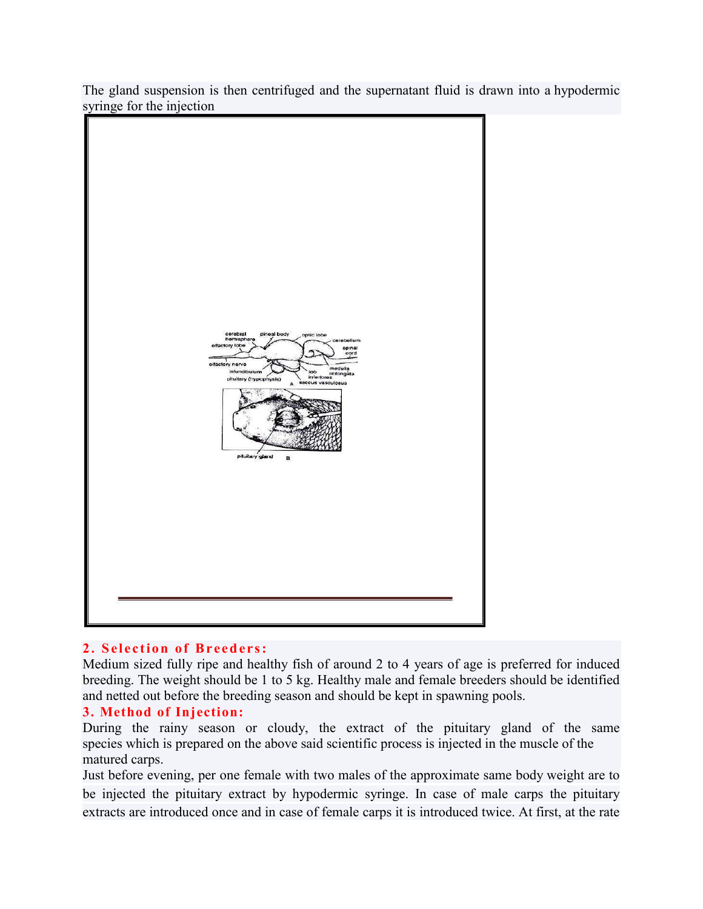The gland suspension is then centrifuged and the supernatant fluid is drawn into a hypodermic syringe for the injection



### **2 . S el ect ion of B reed ers :**

Medium sized fully ripe and healthy fish of around 2 to 4 years of age is preferred for induced breeding. The weight should be 1 to 5 kg. Healthy male and female breeders should be identified and netted out before the breeding season and should be kept in spawning pools.

### **3. Method of Injection:**

During the rainy season or cloudy, the extract of the pituitary gland of the same species which is prepared on the above said scientific process is injected in the muscle of the matured carps.

Just before evening, per one female with two males of the approximate same body weight are to be injected the pituitary extract by hypodermic syringe. In case of male carps the pituitary extracts are introduced once and in case of female carps it is introduced twice. At first, at the rate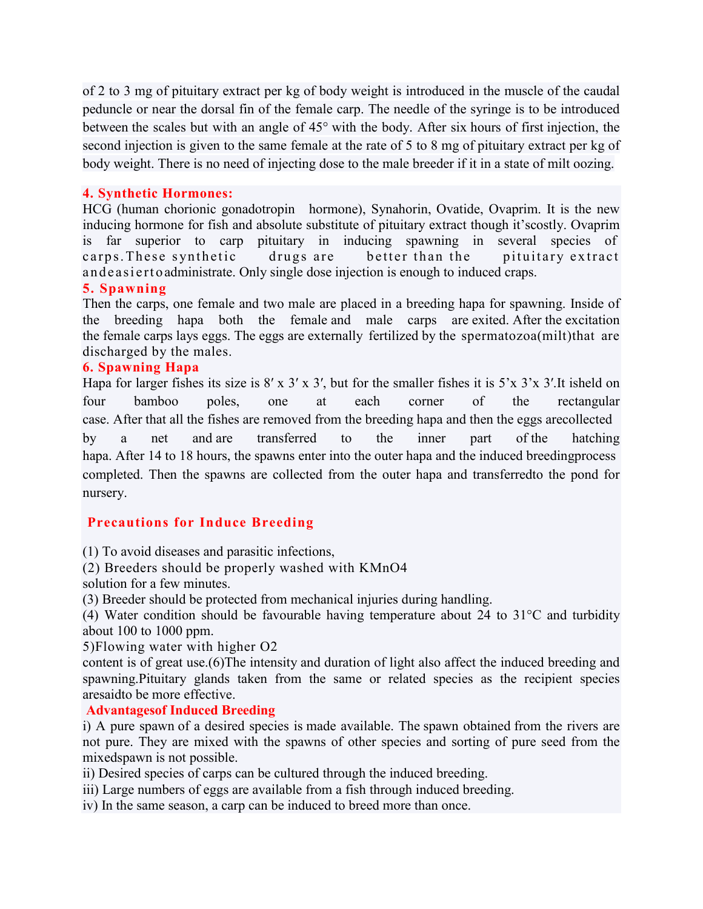of 2 to 3 mg of pituitary extract per kg of body weight is introduced in the muscle of the caudal peduncle or near the dorsal fin of the female carp. The needle of the syringe is to be introduced between the scales but with an angle of 45° with the body. After six hours of first injection, the second injection is given to the same female at the rate of 5 to 8 mg of pituitary extract per kg of body weight. There is no need of injecting dose to the male breeder if it in a state of milt oozing.

## **4. Synthetic Hormones:**

HCG (human chorionic gonadotropin hormone), Synahorin, Ovatide, Ovaprim. It is the new inducing hormone for fish and absolute substitute of pituitary extract though it'scostly. Ovaprim is far superior to carp pituitary in inducing spawning in several species of carps. These synthetic drugs are better than the pituitary extract an deasi erto administrate. Only single dose injection is enough to induced craps.

### **5. Spawning**

Then the carps, one female and two male are placed in a breeding hapa for spawning. Inside of the breeding hapa both the female and male carps are exited. After the excitation the female carps lays eggs. The eggs are externally fertilized by the spermatozoa(milt)that are discharged by the males.

#### **6. Spawning Hapa**

Hapa for larger fishes its size is 8' x 3' x 3', but for the smaller fishes it is 5'x 3'x 3'. It isheld on four bamboo poles, one at each corner of the rectangular case. After that all the fishes are removed from the breeding hapa and then the eggs arecollected by a net and are transferred to the inner part of the hatching hapa. After 14 to 18 hours, the spawns enter into the outer hapa and the induced breedingprocess completed. Then the spawns are collected from the outer hapa and transferredto the pond for nursery.

### **Precautions for Induce Breeding**

(1) To avoid diseases and parasitic infections,

(2) Breeders should be properly washed with KMnO4

solution for a few minutes.

(3) Breeder should be protected from mechanical injuries during handling.

(4) Water condition should be favourable having temperature about 24 to 31°C and turbidity about 100 to 1000 ppm.

5)Flowing water with higher O2

content is of great use.(6)The intensity and duration of light also affect the induced breeding and spawning.Pituitary glands taken from the same or related species as the recipient species aresaidto be more effective.

### **Advantagesof Induced Breeding**

i) A pure spawn of a desired species is made available. The spawn obtained from the rivers are not pure. They are mixed with the spawns of other species and sorting of pure seed from the mixedspawn is not possible.

ii) Desired species of carps can be cultured through the induced breeding.

iii) Large numbers of eggs are available from a fish through induced breeding.

iv) In the same season, a carp can be induced to breed more than once.